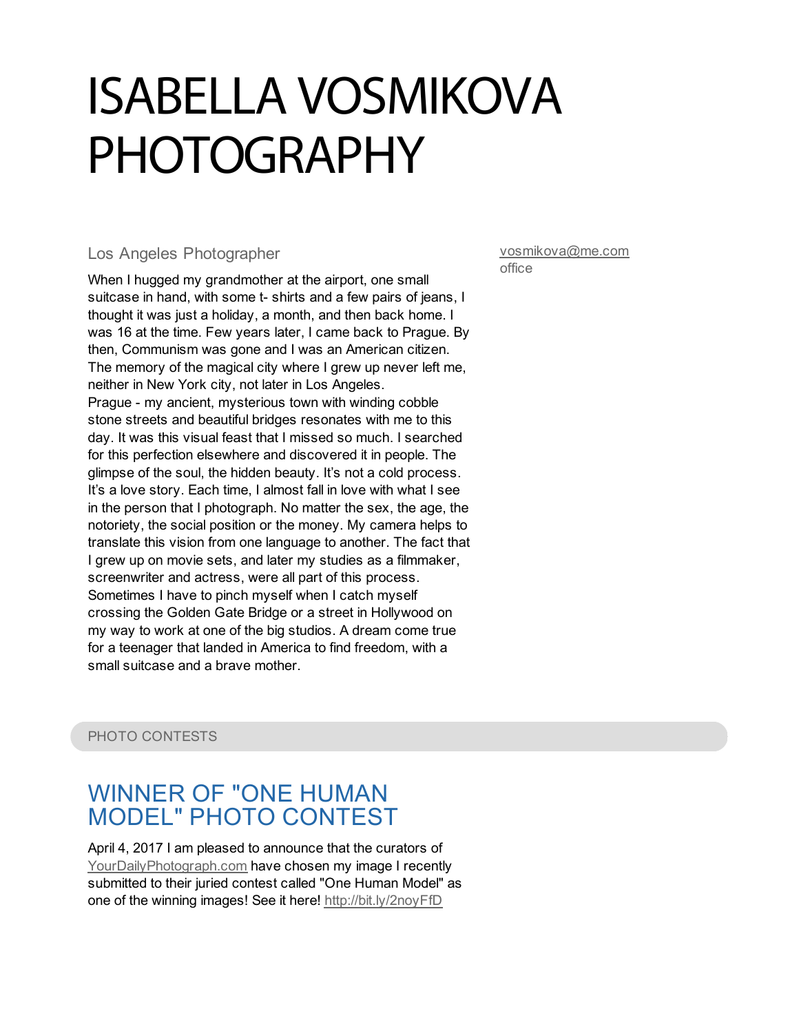# ISABELLA VOSMIKOVA PHOTOGRAPHY

#### Los Angeles Photographer

When I hugged my grandmother at the airport, one small suitcase in hand, with some t- shirts and a few pairs of jeans, I thought it was just a holiday, a month, and then back home. I was 16 at the time. Few years later, I came back to Prague. By then, Communism was gone and I was an American citizen. The memory of the magical city where I grew up never left me, neither in New York city, not later in Los Angeles. Prague - my ancient, mysterious town with winding cobble stone streets and beautiful bridges resonates with me to this day. It was this visual feast that I missed so much. I searched for this perfection elsewhere and discovered it in people. The glimpse of the soul, the hidden beauty. It's not a cold process. It's a love story. Each time, I almost fall in love with what I see in the person that I photograph. No matter the sex, the age, the notoriety, the social position or the money. My camera helps to translate this vision from one language to another. The fact that I grew up on movie sets, and later my studies as a filmmaker, screenwriter and actress, were all part of this process. Sometimes I have to pinch myself when I catch myself crossing the Golden Gate Bridge or a street in Hollywood on my way to work at one of the big studios. A dream come true for a teenager that landed in America to find freedom, with a small suitcase and a brave mother.

[vosmikova@me.com](mailto:vosmikova@me.com) office

PHOTO CONTESTS

## WINNER OF "ONE HUMAN MODEL" PHOTO [CONTEST](http://bit.ly/2noyFfD)

April 4, 2017 I am pleased to announce that the curators of [YourDailyPhotograph.com](http://yourdailyphotograph.com) have chosen my image I recently submitted to their juried contest called "One Human Model" as one of the winning images! See it here! <http://bit.ly/2noyFfD>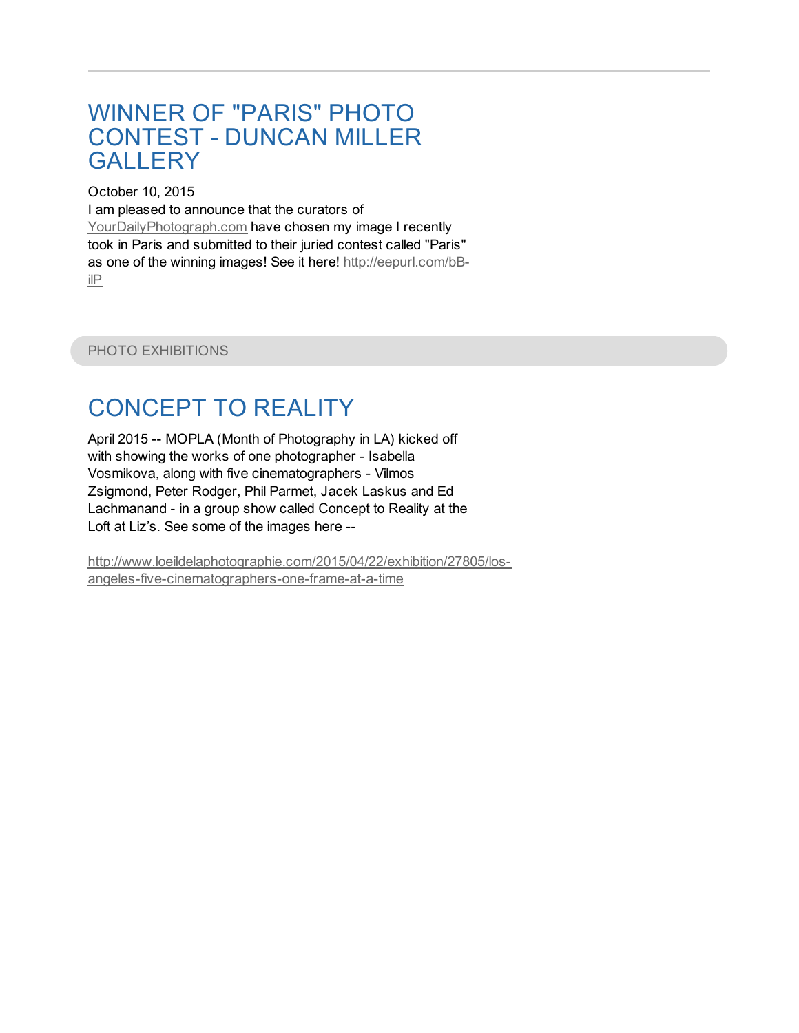#### WINNER OF "PARIS" PHOTO [CONTEST](http://eepurl.com/bB-ilP) - DUNCAN MILLER **GALLERY**

October 10, 2015 I am pleased to announce that the curators of [YourDailyPhotograph.com](http://yourdailyphotograph.com) have chosen my image I recently took in Paris and submitted to their juried contest called "Paris" as one of the winning images! See it here! [http://eepurl.com/bB](http://eepurl.com/bB-ilP)ilP

PHOTO EXHIBITIONS

# [CONCEPT]( http://www.loeildelaphotographie.com/2015/04/22/exhibition/27805/los-angeles-five-cinematographers-one-frame-at-a-time) TO REALITY

April 2015 -- MOPLA (Month of Photography in LA) kicked off with showing the works of one photographer - Isabella Vosmikova, along with five cinematographers - Vilmos Zsigmond, Peter Rodger, Phil Parmet, Jacek Laskus and Ed Lachmanand - in a group show called Concept to Reality at the Loft at Liz's. See some of the images here --

[http://www.loeildelaphotographie.com/2015/04/22/exhibition/27805/los](http://www.loeildelaphotographie.com/2015/04/22/exhibition/27805/los-angeles-five-cinematographers-one-frame-at-a-time)angeles-five-cinematographers-one-frame-at-a-time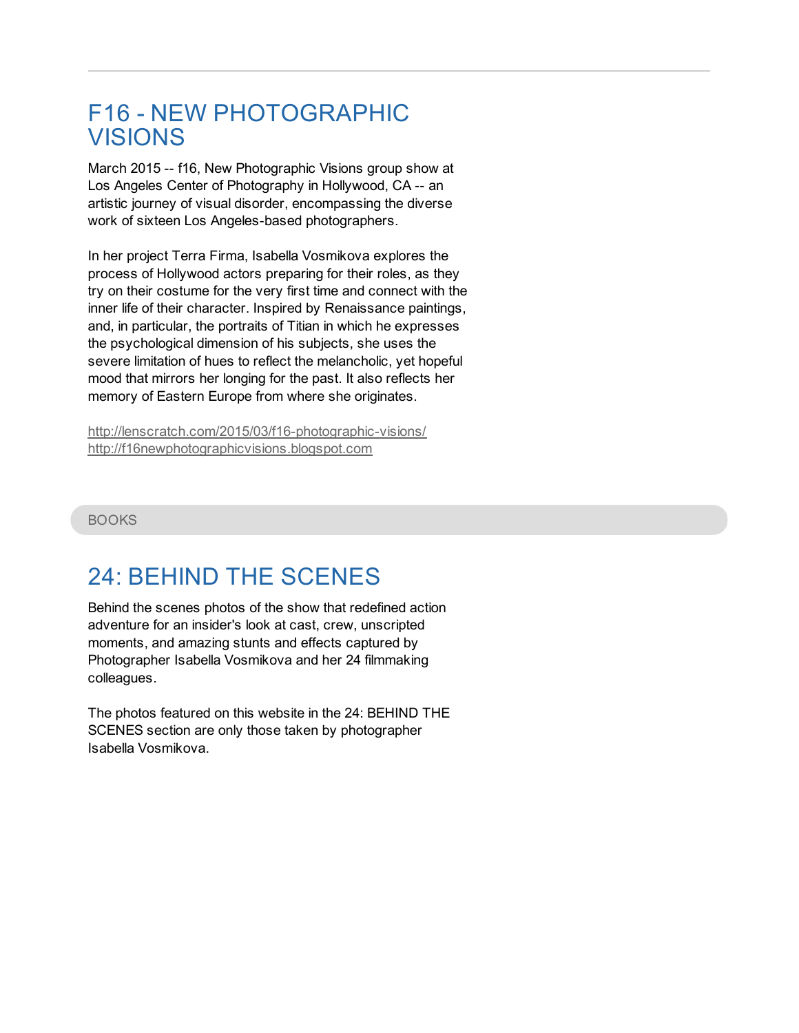## F16 - NEW [PHOTOGRAPHIC](http://lenscratch.com/2015/03/f16-photographic-visions/) VISIONS

March 2015 -- f16, New Photographic Visions group show at Los Angeles Center of Photography in Hollywood, CA -- an artistic journey of visual disorder, encompassing the diverse work of sixteen Los Angeles-based photographers.

In her project Terra Firma, Isabella Vosmikova explores the process of Hollywood actors preparing for their roles, as they try on their costume for the very first time and connect with the inner life of their character. Inspired by Renaissance paintings, and, in particular, the portraits of Titian in which he expresses the psychological dimension of his subjects, she uses the severe limitation of hues to reflect the melancholic, yet hopeful mood that mirrors her longing for the past. It also reflects her memory of Eastern Europe from where she originates.

<http://lenscratch.com/2015/03/f16-photographic-visions/> <http://f16newphotographicvisions.blogspot.com>

#### BOOKS

# 24: BEHIND THE [SCENES](http://www.amazon.com/24-Behind-Scenes-John-Cassar/dp/1933784075/ref=sr_1_1?ie=UTF8&qid=1453307399&sr=8-1&keywords=24+beh)

Behind the scenes photos of the show that redefined action adventure for an insider's look at cast, crew, unscripted moments, and amazing stunts and effects captured by Photographer Isabella Vosmikova and her 24 filmmaking colleagues.

The photos featured on this website in the 24: BEHIND THE SCENES section are only those taken by photographer Isabella Vosmikova.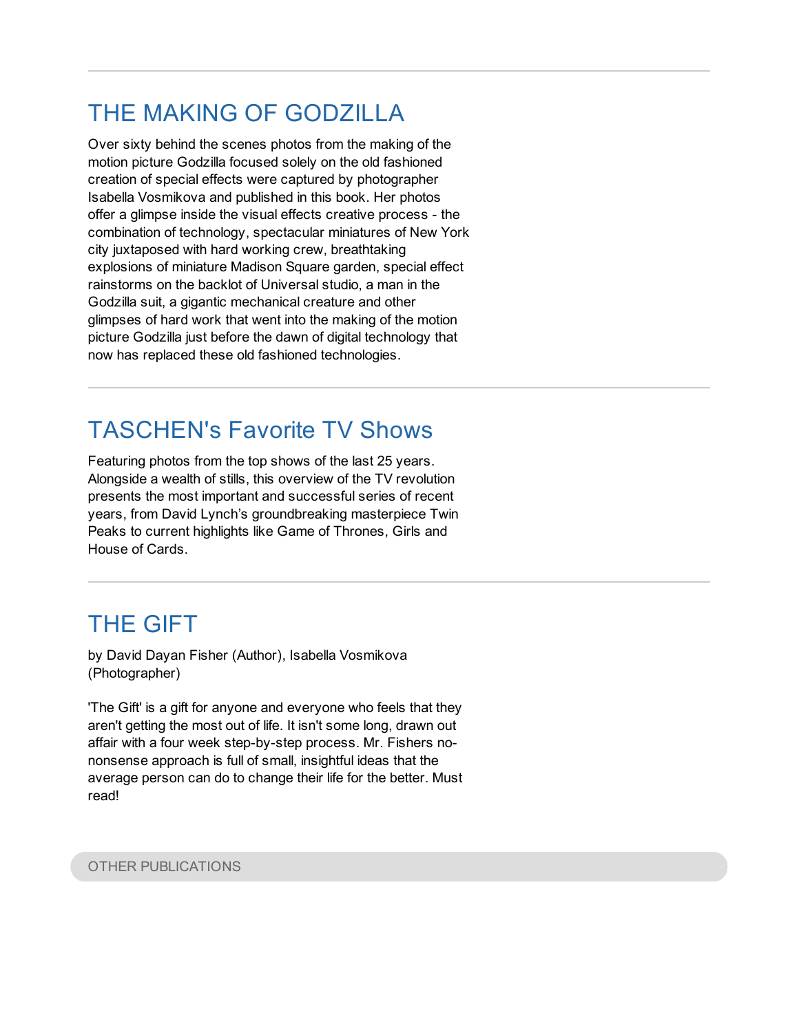# THE MAKING OF [GODZILLA](http://www.amazon.com/Making-Godzilla-Volker-Engel/dp/0061073172/ref=sr_1_2?ie=UTF8&qid=1453308279&sr=8-2&keywords=making+of+god)

Over sixty behind the scenes photos from the making of the motion picture Godzilla focused solely on the old fashioned creation of special effects were captured by photographer Isabella Vosmikova and published in this book. Her photos offer a glimpse inside the visual effects creative process - the combination of technology, spectacular miniatures of New York city juxtaposed with hard working crew, breathtaking explosions of miniature Madison Square garden, special effect rainstorms on the backlot of Universal studio, a man in the Godzilla suit, a gigantic mechanical creature and other glimpses of hard work that went into the making of the motion picture Godzilla just before the dawn of digital technology that now has replaced these old fashioned technologies.

# [TASCHEN's](http://www.taschen.com/pages/en/catalogue/film_music/all/02867/gallery.taschens_favorite_tv_shows_the_top_shows_of_the_last_25_y) Favorite TV Shows

Featuring photos from the top shows of the last 25 years. Alongside a wealth of stills, this overview of the TV revolution presents the most important and successful series of recent years, from David Lynch's groundbreaking masterpiece Twin Peaks to current highlights like Game of Thrones, Girls and House of Cards.

# THE [GIFT](http://www.amazon.com/The-Gift-You-ask-you/dp/1449556728)

by David Dayan Fisher (Author), Isabella Vosmikova (Photographer)

'The Gift' is a gift for anyone and everyone who feels that they aren't getting the most out of life. It isn't some long, drawn out affair with a four week step-by-step process. Mr. Fishers nononsense approach is full of small, insightful ideas that the average person can do to change their life for the better. Must read!

#### OTHER PUBLICATIONS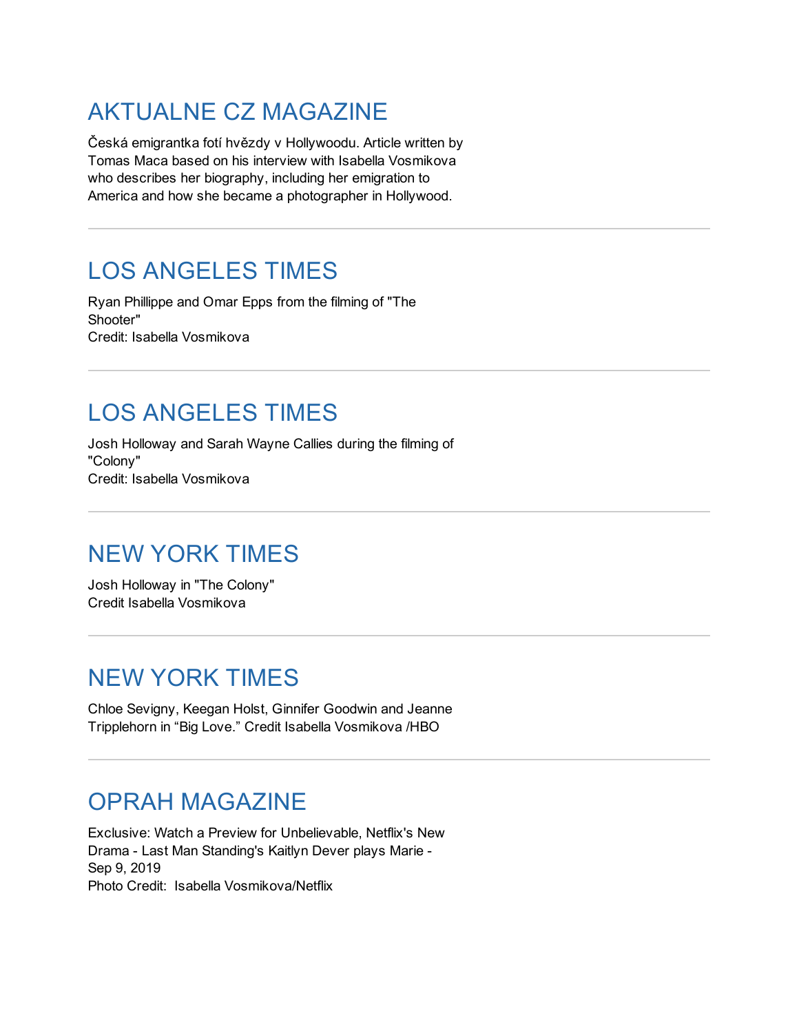# [AKTUALNE](https://magazin.aktualne.cz/ceska-emigrantka-foti-hvezdy-v-hollywoodu-vladl-tu-patriarch/r~819c8010203911ecb91a0cc47ab5f122/) CZ MAGAZINE

Česká emigrantka fotí hvězdy v Hollywoodu. Article written by Tomas Maca based on his interview with Isabella Vosmikova who describes her biography, including her emigration to America and how she became a photographer in Hollywood.

# LOS [ANGELES](http://lat.ms/2voaIZI) TIMES

Ryan Phillippe and Omar Epps from the filming of "The Shooter" Credit: Isabella Vosmikova

# LOS [ANGELES](http://lat.ms/2lXgUid) TIMES

Josh Holloway and Sarah Wayne Callies during the filming of "Colony" Credit: Isabella Vosmikova

# NEW YORK [TIMES](https://www.nytimes.com/2016/01/14/arts/television/tv-review-colony-usa.html)

Josh Holloway in "The Colony" Credit Isabella Vosmikova

### NEW YORK [TIMES](http://www.nytimes.com/2011/01/14/arts/television/14biglove.html)

Chloe Sevigny, Keegan Holst, Ginnifer Goodwin and Jeanne Tripplehorn in "Big Love." Credit Isabella Vosmikova /HBO

### OPRAH [MAGAZINE](https://www.oprahmag.com/entertainment/tv-movies/a28942216/netflix-unbelievable-trailer-exclusive-preview/)

Exclusive: Watch a Preview for Unbelievable, Netflix's New Drama - Last Man Standing's Kaitlyn Dever plays Marie - Sep 9, 2019 Photo Credit: Isabella Vosmikova/Netflix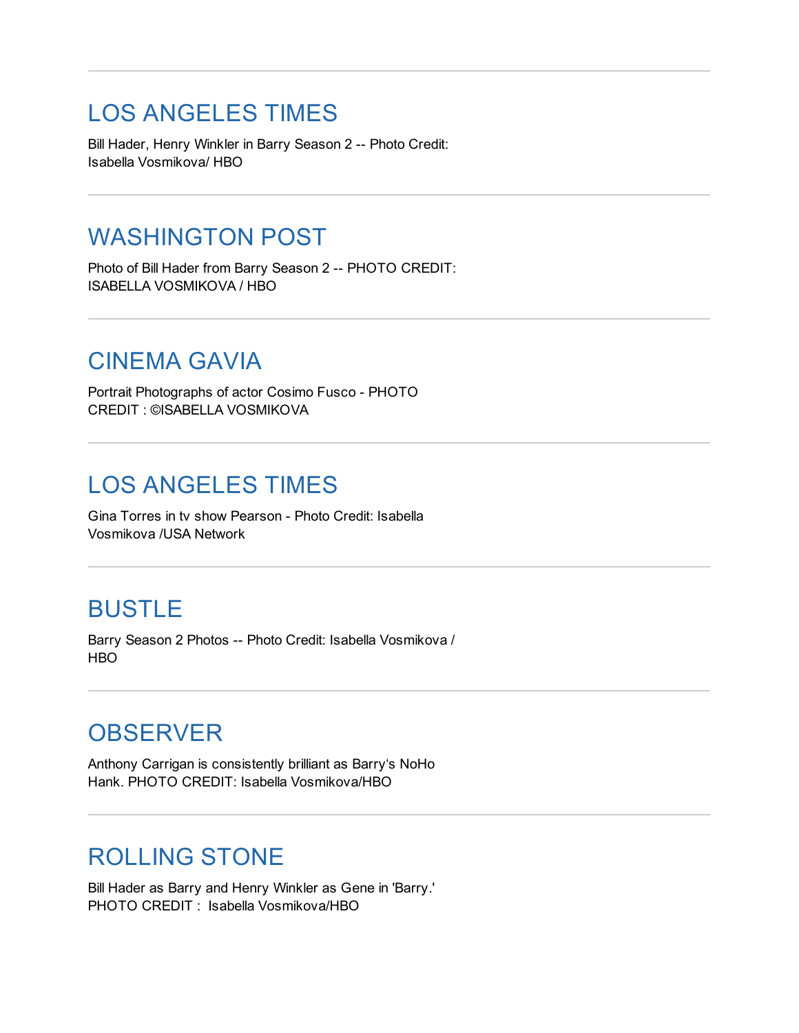### LOS [ANGELES](https://www.latimes.com/entertainment/tv/la-et-st-overrated-underrated-barry-game-of-thrones-20190529-story.html) TIMES

Bill Hader, Henry Winkler in Barry Season 2 -- Photo Credit: Isabella Vosmikova/ HBO

### [WASHINGTON](https://wapo.st/344dErF) POST

Photo of Bill Hader from Barry Season 2 -- PHOTO CREDIT: ISABELLA VOSMIKOVA / HBO

### [CINEMA](https://cinemagavia.es/cosimo-fusco-entrevista/) GAVIA

Portrait Photographs of actor Cosimo Fusco - PHOTO CREDIT : ©ISABELLA VOSMIKOVA

### LOS [ANGELES](https://lat.ms/2Oryta8) TIMES

Gina Torres in tv show Pearson - Photo Credit: Isabella Vosmikova /USA Network

### [BUSTLE](https://www.bustle.com/p/sallys-ex-husband-on-barry-will-test-if-barry-has-really-changed-his-ways-for-good-17028076)

Barry Season 2 Photos -- Photo Credit: Isabella Vosmikova / H<sub>BO</sub>

#### **[OBSERVER](https://observer.com/2019/04/hbo-barry-bill-hader-reveals-noho-hank-was-almost-killed-in-pilot/)**

Anthony Carrigan is consistently brilliant as Barry's NoHo Hank. PHOTO CREDIT: Isabella Vosmikova/HBO

# [ROLLING](https://www.rollingstone.com/tv/tv-reviews/barry-season-2-review-812672/) STONE

Bill Hader as Barry and Henry Winkler as Gene in 'Barry.' PHOTO CREDIT : Isabella Vosmikova/HBO